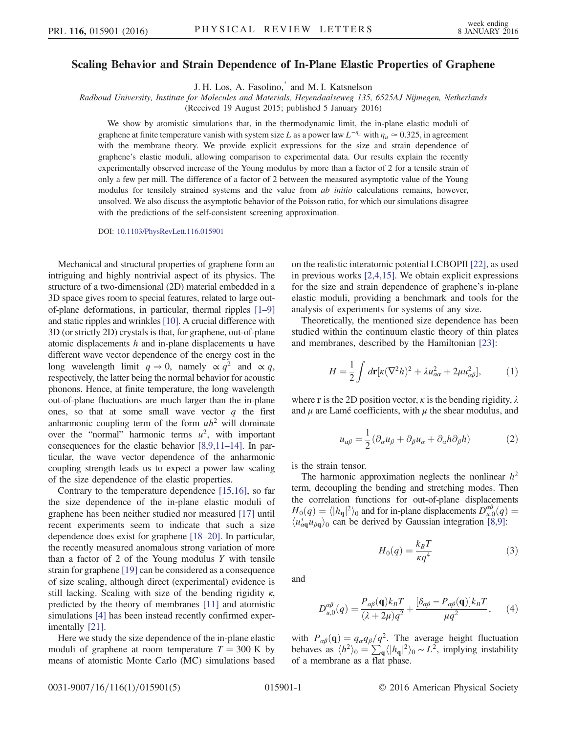## <span id="page-0-3"></span>Scaling Behavior and Strain Dependence of In-Plane Elastic Properties of Graphene

J. H. Los, A. Fasolino[,\\*](#page-4-0) and M. I. Katsnelson

Radboud University, Institute for Molecules and Materials, Heyendaalseweg 135, 6525AJ Nijmegen, Netherlands

(Received 19 August 2015; published 5 January 2016)

We show by atomistic simulations that, in the thermodynamic limit, the in-plane elastic moduli of graphene at finite temperature vanish with system size L as a power law  $L^{-\eta_u}$  with  $\eta_u \approx 0.325$ , in agreement with the membrane theory. We provide explicit expressions for the size and strain dependence of graphene's elastic moduli, allowing comparison to experimental data. Our results explain the recently experimentally observed increase of the Young modulus by more than a factor of 2 for a tensile strain of only a few per mill. The difference of a factor of 2 between the measured asymptotic value of the Young modulus for tensilely strained systems and the value from *ab initio* calculations remains, however, unsolved. We also discuss the asymptotic behavior of the Poisson ratio, for which our simulations disagree with the predictions of the self-consistent screening approximation.

DOI: [10.1103/PhysRevLett.116.015901](http://dx.doi.org/10.1103/PhysRevLett.116.015901)

Mechanical and structural properties of graphene form an intriguing and highly nontrivial aspect of its physics. The structure of a two-dimensional (2D) material embedded in a 3D space gives room to special features, related to large outof-plane deformations, in particular, thermal ripples [\[1](#page-4-1)–9] and static ripples and wrinkles [\[10\].](#page-4-2) A crucial difference with 3D (or strictly 2D) crystals is that, for graphene, out-of-plane atomic displacements  $h$  and in-plane displacements  $\bf{u}$  have different wave vector dependence of the energy cost in the long wavelength limit  $q \to 0$ , namely  $\propto q^2$  and  $\propto q$ , respectively, the latter being the normal behavior for acoustic phonons. Hence, at finite temperature, the long wavelength out-of-plane fluctuations are much larger than the in-plane ones, so that at some small wave vector  $q$  the first anharmonic coupling term of the form  $uh^2$  will dominate over the "normal" harmonic terms  $u^2$ , with important consequences for the elastic behavior [\[8,9,11](#page-4-3)–14]. In particular, the wave vector dependence of the anharmonic coupling strength leads us to expect a power law scaling of the size dependence of the elastic properties.

Contrary to the temperature dependence [\[15,16\],](#page-4-4) so far the size dependence of the in-plane elastic moduli of graphene has been neither studied nor measured [\[17\]](#page-4-5) until recent experiments seem to indicate that such a size dependence does exist for graphene [18–[20\].](#page-4-6) In particular, the recently measured anomalous strong variation of more than a factor of 2 of the Young modulus  $Y$  with tensile strain for graphene [\[19\]](#page-4-7) can be considered as a consequence of size scaling, although direct (experimental) evidence is still lacking. Scaling with size of the bending rigidity  $\kappa$ , predicted by the theory of membranes [\[11\]](#page-4-8) and atomistic simulations [\[4\]](#page-4-9) has been instead recently confirmed experimentally [\[21\]](#page-4-10).

Here we study the size dependence of the in-plane elastic moduli of graphene at room temperature  $T = 300$  K by means of atomistic Monte Carlo (MC) simulations based on the realistic interatomic potential LCBOPII [\[22\]](#page-4-11), as used in previous works [\[2,4,15\]](#page-4-12). We obtain explicit expressions for the size and strain dependence of graphene's in-plane elastic moduli, providing a benchmark and tools for the analysis of experiments for systems of any size.

Theoretically, the mentioned size dependence has been studied within the continuum elastic theory of thin plates and membranes, described by the Hamiltonian [\[23\]:](#page-4-13)

$$
H = \frac{1}{2} \int d\mathbf{r} [\kappa (\nabla^2 h)^2 + \lambda u_{\alpha\alpha}^2 + 2\mu u_{\alpha\beta}^2], \tag{1}
$$

<span id="page-0-0"></span>where **r** is the 2D position vector,  $\kappa$  is the bending rigidity,  $\lambda$ and  $\mu$  are Lamé coefficients, with  $\mu$  the shear modulus, and

$$
u_{\alpha\beta} = \frac{1}{2} (\partial_{\alpha} u_{\beta} + \partial_{\beta} u_{\alpha} + \partial_{\alpha} h \partial_{\beta} h) \tag{2}
$$

is the strain tensor.

<span id="page-0-1"></span>The harmonic approximation neglects the nonlinear  $h^2$ term, decoupling the bending and stretching modes. Then the correlation functions for out-of-plane displacements  $H_0(q) = \langle |h_q|^2 \rangle_0$  and for in-plane displacements  $D_{u,0}^{\alpha\beta}(q) = \langle u^*, u_0 \rangle_0$  can be derived by Gaussian integration [8.9].  $\langle u_{\alpha\mathbf{q}}^* u_{\beta\mathbf{q}} \rangle_0$  can be derived by Gaussian integration [\[8,9\]:](#page-4-3)

$$
H_0(q) = \frac{k_B T}{\kappa q^4} \tag{3}
$$

<span id="page-0-2"></span>and

$$
D_{u,0}^{\alpha\beta}(q) = \frac{P_{\alpha\beta}(\mathbf{q})k_BT}{(\lambda + 2\mu)q^2} + \frac{[\delta_{\alpha\beta} - P_{\alpha\beta}(\mathbf{q})]k_BT}{\mu q^2}, \qquad (4)
$$

with  $P_{\alpha\beta}(\mathbf{q})=q_{\alpha}q_{\beta}/q^2$ . The average height fluctuation<br>behaves as  $\langle h^2 \rangle_a = \sum_{\alpha} \langle h |^2 \rangle_a \sim L^2$  implying instability behaves as  $\langle h^2 \rangle_0 = \sum_{\mathbf{q}} \langle |h_{\mathbf{q}}|^2 \rangle_0 \sim L^2$ , implying instability of a membrane as a flat phase of a membrane as a flat phase.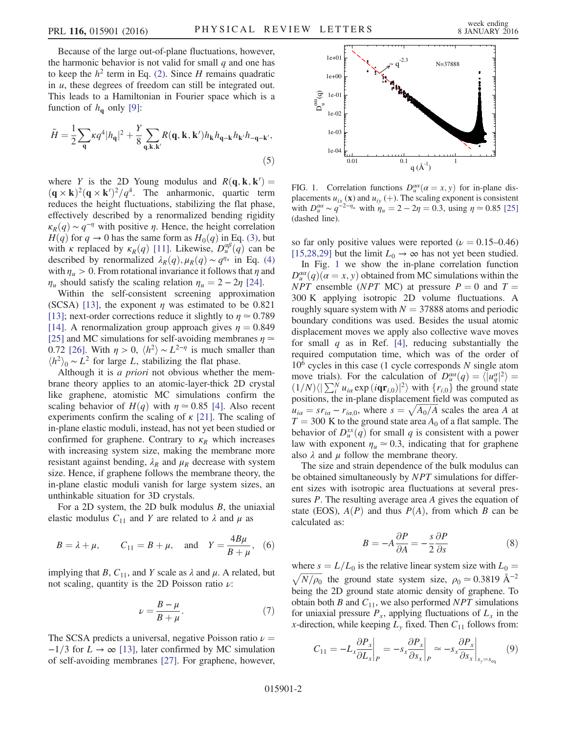Because of the large out-of-plane fluctuations, however, the harmonic behavior is not valid for small  $q$  and one has to keep the  $h^2$  term in Eq. [\(2\).](#page-0-0) Since H remains quadratic in u, these degrees of freedom can still be integrated out. This leads to a Hamiltonian in Fourier space which is a function of  $h_{\mathbf{q}}$  only [\[9\]:](#page-4-14)

$$
\tilde{H} = \frac{1}{2} \sum_{\mathbf{q}} \kappa q^4 |h_{\mathbf{q}}|^2 + \frac{Y}{8} \sum_{\mathbf{q}, \mathbf{k}, \mathbf{k'}} R(\mathbf{q}, \mathbf{k}, \mathbf{k'}) h_{\mathbf{k}} h_{\mathbf{q} - \mathbf{k}} h_{\mathbf{k'}} h_{-\mathbf{q} - \mathbf{k'}},
$$
\n(5)

where Y is the 2D Young modulus and  $R(\mathbf{q}, \mathbf{k}, \mathbf{k}') =$  $(\mathbf{q} \times \mathbf{k})^2 (\mathbf{q} \times \mathbf{k}')^2 / q^4$ . The anharmonic, quartic term<br>reduces the height fluctuations stabilizing the flat phase reduces the height fluctuations, stabilizing the flat phase, effectively described by a renormalized bending rigidity  $\kappa_R(q) \sim q^{-\eta}$  with positive  $\eta$ . Hence, the height correlation  $H(q)$  for  $q \to 0$  has the same form as  $H_0(q)$  in Eq. [\(3\),](#page-0-1) but with κ replaced by  $\kappa_R(q)$  [\[11\]](#page-4-8). Likewise,  $D_u^{\alpha\beta}(q)$  can be described by renormalized  $\lambda_R(q)$   $\mu_R(q) \sim q^{\eta_u}$  in Fq. (4) described by renormalized  $\lambda_R(q)$ ,  $\mu_R(q) \sim q^{\eta_u}$  in Eq. [\(4\)](#page-0-2) with  $\eta_u > 0$ . From rotational invariance it follows that  $\eta$  and  $\eta_u$  should satisfy the scaling relation  $\eta_u = 2 - 2\eta$  [\[24\]](#page-4-15).

Within the self-consistent screening approximation (SCSA) [\[13\],](#page-4-16) the exponent  $\eta$  was estimated to be 0.821 [\[13\]](#page-4-16); next-order corrections reduce it slightly to  $\eta \approx 0.789$ [\[14\]](#page-4-17). A renormalization group approach gives  $\eta = 0.849$ [\[25\]](#page-4-18) and MC simulations for self-avoiding membranes  $\eta \simeq$ 0.72 [\[26\].](#page-4-19) With  $\eta > 0$ ,  $\langle h^2 \rangle \sim L^{2-\eta}$  is much smaller than  $\langle h^2 \rangle_0 \sim L^2$  for large L, stabilizing the flat phase.

Although it is *a priori* not obvious whether the membrane theory applies to an atomic-layer-thick 2D crystal like graphene, atomistic MC simulations confirm the scaling behavior of  $H(q)$  with  $\eta \approx 0.85$  [\[4\]](#page-4-9). Also recent experiments confirm the scaling of  $\kappa$  [\[21\]](#page-4-10). The scaling of in-plane elastic moduli, instead, has not yet been studied or confirmed for graphene. Contrary to  $\kappa_R$  which increases with increasing system size, making the membrane more resistant against bending,  $\lambda_R$  and  $\mu_R$  decrease with system size. Hence, if graphene follows the membrane theory, the in-plane elastic moduli vanish for large system sizes, an unthinkable situation for 3D crystals.

<span id="page-1-3"></span>For a 2D system, the 2D bulk modulus  $B$ , the uniaxial elastic modulus  $C_{11}$  and Y are related to  $\lambda$  and  $\mu$  as

$$
B = \lambda + \mu
$$
,  $C_{11} = B + \mu$ , and  $Y = \frac{4B\mu}{B + \mu}$ , (6)

<span id="page-1-4"></span>implying that B,  $C_{11}$ , and Y scale as  $\lambda$  and  $\mu$ . A related, but not scaling, quantity is the 2D Poisson ratio  $\nu$ :

$$
\nu = \frac{B - \mu}{B + \mu}.\tag{7}
$$

The SCSA predicts a universal, negative Poisson ratio  $\nu =$  $-1/3$  for  $L \rightarrow \infty$  [\[13\]](#page-4-16), later confirmed by MC simulation of self-avoiding membranes [\[27\]](#page-4-20). For graphene, however,

<span id="page-1-0"></span>

FIG. 1. Correlation functions  $D_u^{\alpha\alpha}(\alpha = x, y)$  for in-plane dis-<br>placements u. (x) and u. (+) The scaling exponent is consistent placements  $u_{ix}$  (**x**) and  $u_{iy}$  (+). The scaling exponent is consistent with  $D_{\mu}^{a\alpha} \sim q^{-2-\eta_{\mu}}$  with  $\eta_{\mu} = 2 - 2\eta = 0.3$ , using  $\eta \approx 0.85$  [\[25\]](#page-4-18) (dashed line) (dashed line).

so far only positive values were reported ( $\nu = 0.15{\text -}0.46$ ) [\[15,28,29\]](#page-4-4) but the limit  $L_0 \rightarrow \infty$  has not yet been studied.

In Fig. [1](#page-1-0) we show the in-plane correlation function  $D_{\mu}^{\alpha\alpha}(q)(\alpha = x, y)$  obtained from MC simulations within the  $\Delta_{\mu}P_{\mu}^{p}$  ensemble  $(\Delta_{\mu}P_{\mu}^{p})$  at pressure  $P = 0$  and  $T = 0$ NPT ensemble (NPT MC) at pressure  $P = 0$  and  $T =$ 300 K applying isotropic 2D volume fluctuations. A roughly square system with  $N = 37888$  atoms and periodic boundary conditions was used. Besides the usual atomic displacement moves we apply also collective wave moves for small  $q$  as in Ref. [\[4\],](#page-4-9) reducing substantially the required computation time, which was of the order of  $10<sup>6</sup>$  cycles in this case (1 cycle corresponds N single atom move trials). For the calculation of  $D_{\mu}^{\alpha\alpha}(q) = \langle |u_q^{\alpha}|^2 \rangle$ <br>(1/N)/ $|\nabla^N u_{\alpha}|$  exp(ior; )<sup>[2</sup>) with  $\{r_{\alpha}\}$  the ground s move trials). For the calculation of  $D_{\mu}^{\alpha}(q) = \langle |u_q^{\alpha}|^2 \rangle = (1/N) \langle | \sum_{i}^{N} u_{i\alpha} \exp(i\mathbf{qr}_{i,0})|^2 \rangle$  with  $\{r_{i,0}\}$  the ground state nositions the in-plane displacement field was computed as positions, the in-plane displacement field was computed as  $u_{ia} = s r_{ia} - r_{ia,0}$ , where  $s = \sqrt{A_0/A}$  scales the area A at  $T = 300$  K to the ground state area A of a flat sample. The  $T = 300$  K to the ground state area  $A_0$  of a flat sample. The behavior of  $D_u^{xx}(q)$  for small q is consistent with a power<br>law with exponent  $n \approx 0.3$  indicating that for graphene law with exponent  $\eta_u \approx 0.3$ , indicating that for graphene also  $\lambda$  and  $\mu$  follow the membrane theory.

The size and strain dependence of the bulk modulus can be obtained simultaneously by NPT simulations for different sizes with isotropic area fluctuations at several pressures P. The resulting average area A gives the equation of state (EOS),  $A(P)$  and thus  $P(A)$ , from which B can be calculated as:

$$
B = -A\frac{\partial P}{\partial A} = -\frac{s}{2}\frac{\partial P}{\partial s} \tag{8}
$$

<span id="page-1-2"></span>where  $s = L/L_0$  is the relative linear system size with  $L_0 = \sqrt{N/\rho_0}$  the ground state system size,  $\rho_0 \approx 0.3819 \text{ Å}^{-2}$ being the 2D ground state atomic density of graphene. To obtain both B and  $C_{11}$ , we also performed NPT simulations for uniaxial pressure  $P_x$ , applying fluctuations of  $L_x$  in the x-direction, while keeping  $L<sub>v</sub>$  fixed. Then  $C<sub>11</sub>$  follows from:

<span id="page-1-1"></span>
$$
C_{11} = -L_x \frac{\partial P_x}{\partial L_x}\bigg|_P = -s_x \frac{\partial P_x}{\partial s_x}\bigg|_P \approx -s_x \frac{\partial P_x}{\partial s_x}\bigg|_{s_y = s_{\text{eq}}} \tag{9}
$$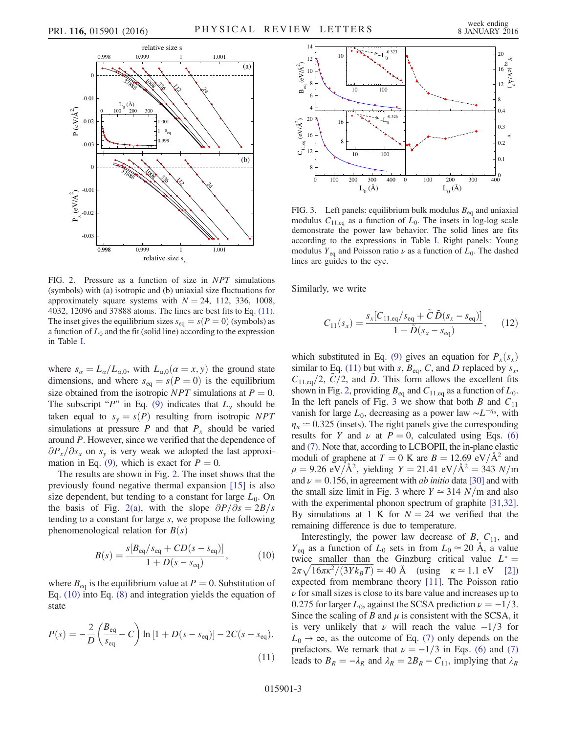<span id="page-2-0"></span>

FIG. 2. Pressure as a function of size in NPT simulations (symbols) with (a) isotropic and (b) uniaxial size fluctuations for approximately square systems with  $N = 24$ , 112, 336, 1008, 4032, 12096 and 37888 atoms. The lines are best fits to Eq. [\(11\).](#page-2-2) The inset gives the equilibrium sizes  $s_{eq} = s(P = 0)$  (symbols) as a function of  $L_0$  and the fit (solid line) according to the expression in Table [I.](#page-3-0)

where  $s_{\alpha}=L_{\alpha}/L_{\alpha,0}$ , with  $L_{\alpha,0}(\alpha=x, y)$  the ground state dimensions, and where  $s_{eq} = s(P = 0)$  is the equilibrium size obtained from the isotropic NPT simulations at  $P = 0$ . The subscript "P" in Eq. [\(9\)](#page-1-1) indicates that  $L<sub>v</sub>$  should be taken equal to  $s_y = s(P)$  resulting from isotropic NPT simulations at pressure  $P$  and that  $P<sub>x</sub>$  should be varied around P. However, since we verified that the dependence of  $\partial P_x/\partial s_x$  on  $s_y$  is very weak we adopted the last approxi-mation in Eq. [\(9\),](#page-1-1) which is exact for  $P = 0$ .

<span id="page-2-1"></span>The results are shown in Fig. [2](#page-2-0). The inset shows that the previously found negative thermal expansion [\[15\]](#page-4-4) is also size dependent, but tending to a constant for large  $L_0$ . On the basis of Fig. [2\(a\),](#page-2-0) with the slope  $\partial P/\partial s = 2B/s$ tending to a constant for large s, we propose the following phenomenological relation for  $B(s)$ 

$$
B(s) = \frac{s[B_{\text{eq}}/s_{\text{eq}} + CD(s - s_{\text{eq}})]}{1 + D(s - s_{\text{eq}})},
$$
 (10)

<span id="page-2-2"></span>where  $B_{eq}$  is the equilibrium value at  $P = 0$ . Substitution of Eq. [\(10\)](#page-2-1) into Eq. [\(8\)](#page-1-2) and integration yields the equation of state

$$
P(s) = -\frac{2}{D} \left( \frac{B_{\text{eq}}}{s_{\text{eq}}} - C \right) \ln \left[ 1 + D(s - s_{\text{eq}}) \right] - 2C(s - s_{\text{eq}}). \tag{11}
$$

<span id="page-2-3"></span>

FIG. 3. Left panels: equilibrium bulk modulus  $B_{eq}$  and uniaxial modulus  $C_{11,eq}$  as a function of  $L_0$ . The insets in log-log scale demonstrate the power law behavior. The solid lines are fits according to the expressions in Table [I](#page-3-0). Right panels: Young modulus  $Y_{eq}$  and Poisson ratio  $\nu$  as a function of  $L_0$ . The dashed lines are guides to the eye.

<span id="page-2-4"></span>Similarly, we write

$$
C_{11}(s_x) = \frac{s_x [C_{11,eq}/s_{eq} + \tilde{C} \tilde{D}(s_x - s_{eq})]}{1 + \tilde{D}(s_x - s_{eq})},
$$
 (12)

which substituted in Eq. [\(9\)](#page-1-1) gives an equation for  $P_x(s_x)$ similar to Eq. [\(11\)](#page-2-2) but with s,  $B_{eq}$ , C, and D replaced by  $s_x$ ,  $C_{11,eq}/2$ ,  $C/2$ , and D. This form allows the excellent fits shown in Fig. [2](#page-2-0), providing  $B_{eq}$  and  $C_{11,eq}$  as a function of  $L_0$ . In the left panels of Fig. [3](#page-2-3) we show that both B and  $C_{11}$ vanish for large  $L_0$ , decreasing as a power law  $\sim L^{-\eta_u}$ , with  $\eta_u \approx 0.325$  (insets). The right panels give the corresponding results for Y and  $\nu$  at  $P = 0$ , calculated using Eqs. [\(6\)](#page-1-3) and [\(7\)](#page-1-4). Note that, according to LCBOPII, the in-plane elastic moduli of graphene at  $T = 0$  K are  $B = 12.69$  eV/ $\AA^2$  and  $\mu = 9.26 \text{ eV} / \text{\AA}^2$ , yielding  $Y = 21.41 \text{ eV} / \text{\AA}^2 = 343 \text{ N/m}$ <br>and  $\nu = 0.156$  in agreement with *ab initio* data [30] and with and  $\nu = 0.156$ , in agreement with *ab initio* data [\[30\]](#page-4-21) and with the small size limit in Fig. [3](#page-2-3) where  $Y \approx 314$  N/m and also with the experimental phonon spectrum of graphite [\[31,32\]](#page-4-22). By simulations at 1 K for  $N = 24$  we verified that the remaining difference is due to temperature.

Interestingly, the power law decrease of  $B$ ,  $C_{11}$ , and  $Y_{eq}$  as a function of  $L_0$  sets in from  $L_0 \approx 20$  Å, a value twice smaller than the Ginzburg critical value  $L^* =$  $2\pi\sqrt{16\pi\kappa^2/(3Yk_BT)} \approx 40 \text{ Å}$  (using  $\kappa \approx 1.1 \text{ eV}$  [\[2\]\)](#page-4-12)<br>expected from membrane theory [11]. The Poisson ratio expected from membrane theory [\[11\].](#page-4-8) The Poisson ratio  $\nu$  for small sizes is close to its bare value and increases up to 0.275 for larger  $L_0$ , against the SCSA prediction  $\nu = -1/3$ . Since the scaling of B and  $\mu$  is consistent with the SCSA, it is very unlikely that  $\nu$  will reach the value  $-1/3$  for  $L_0 \rightarrow \infty$ , as the outcome of Eq. [\(7\)](#page-1-4) only depends on the prefactors. We remark that  $\nu = -1/3$  in Eqs. [\(6\)](#page-1-3) and [\(7\)](#page-1-4) leads to  $B_R = -\lambda_R$  and  $\lambda_R = 2B_R - C_{11}$ , implying that  $\lambda_R$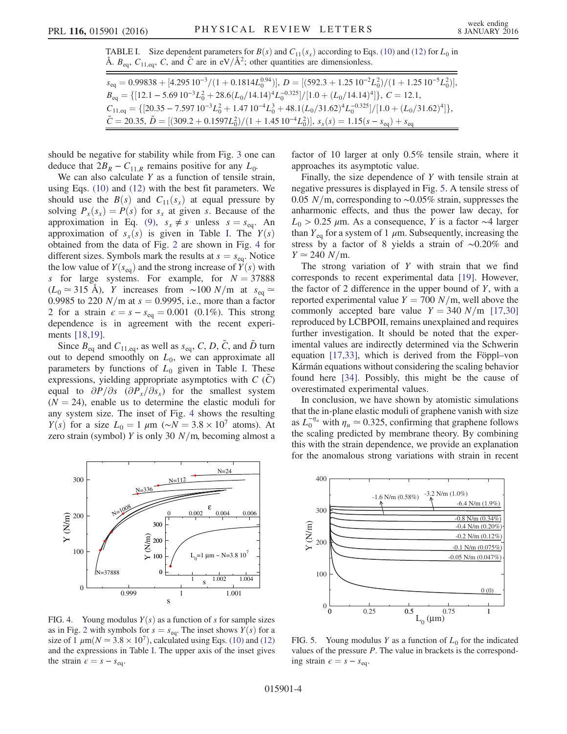<span id="page-3-0"></span>TABLE I. Size dependent parameters for  $B(s)$  and  $C_{11}(s_x)$  according to Eqs. [\(10\)](#page-2-1) and [\(12\)](#page-2-4) for  $L_0$  in Å.  $B_{eq}$ ,  $C_{11,eq}$ ,  $C$ , and  $\tilde{C}$  are in eV/Å<sup>2</sup>; other quantities are dimensionless.

 $s_{\text{eq}} = 0.99838 + [4.295 \, 10^{-3}/(1 + 0.1814L_0^{0.94})], D = [(592.3 + 1.25 \, 10^{-2}L_0^2)/(1 + 1.25 \, 10^{-5}L_0^2)],$  $B_{eq} = \{[12.1 - 5.69 \, 10^{-3} L_0^2 + 28.6(L_0/14.14)^4 L_0^{-0.325}] / [1.0 + (L_0/14.14)^4] \}, C = 12.1,$  $C_{11,eq} = \{ [20.35 - 7.597 10^{-3} L_0^2 + 1.47 10^{-4} L_0^3 + 48.1 (L_0/31.62)^4 L_0^{-0.325}]/[1.0 + (L_0/31.62)^4] \},$  $\tilde{C} = 20.35, \tilde{D} = [(309.2 + 0.1597L_0^2)/(1 + 1.4510^{-4}L_0^2)], s_x(s) = 1.15(s - s_{eq}) + s_{eq}$ 

should be negative for stability while from Fig. [3](#page-2-3) one can deduce that  $2B_R - C_{11,R}$  remains positive for any  $L_0$ .

We can also calculate  $Y$  as a function of tensile strain, using Eqs. [\(10\)](#page-2-1) and [\(12\)](#page-2-4) with the best fit parameters. We should use the  $B(s)$  and  $C_{11}(s_x)$  at equal pressure by solving  $P_x(s_x) = P(s)$  for  $s_x$  at given s. Because of the approximation in Eq. [\(9\)](#page-1-1),  $s_x \neq s$  unless  $s = s_{eq}$ . An approximation of  $s_x(s)$  is given in Table [I](#page-3-0). The  $Y(s)$ obtained from the data of Fig. [2](#page-2-0) are shown in Fig. [4](#page-3-1) for different sizes. Symbols mark the results at  $s = s_{eq}$ . Notice the low value of  $Y(s_{eq})$  and the strong increase of  $\overline{Y}(s)$  with s for large systems. For example, for  $N = 37888$  $(L_0 \approx 315 \text{ Å})$ , Y increases from ~100 N/m at s<sub>eq</sub> ≃ 0.9985 to 220  $N/m$  at  $s = 0.9995$ , i.e., more than a factor 2 for a strain  $\epsilon = s - s_{eq} = 0.001$  (0.1%). This strong dependence is in agreement with the recent experiments [\[18,19\].](#page-4-6)

Since  $B_{eq}$  and  $C_{11,eq}$ , as well as  $s_{eq}$ , C, D,  $\tilde{C}$ , and  $\tilde{D}$  turn out to depend smoothly on  $L_0$ , we can approximate all parameters by functions of  $L_0$  given in Table [I](#page-3-0). These expressions, yielding appropriate asymptotics with  $C(C)$ equal to  $\partial P/\partial s$  ( $\partial P_x/\partial s_x$ ) for the smallest system  $(N = 24)$ , enable us to determine the elastic moduli for any system size. The inset of Fig. [4](#page-3-1) shows the resulting  $Y(s)$  for a size  $L_0 = 1 \mu m$  (∼ $N = 3.8 \times 10^7$  atoms). At zero strain (symbol) Y is only 30  $N/m$ , becoming almost a

<span id="page-3-1"></span>

FIG. 4. Young modulus  $Y(s)$  as a function of s for sample sizes as in Fig. [2](#page-2-0) with symbols for  $s = s_{eq}$ . The inset shows  $Y(s)$  for a size of 1  $\mu$ m( $N \approx 3.8 \times 10^7$ ), calculated using Eqs. [\(10\)](#page-2-1) and [\(12\)](#page-2-4) and the expressions in Table [I.](#page-3-0) The upper axis of the inset gives the strain  $\epsilon = s - s_{eq}$ .

factor of 10 larger at only 0.5% tensile strain, where it approaches its asymptotic value.

Finally, the size dependence of Y with tensile strain at negative pressures is displayed in Fig. [5.](#page-3-2) A tensile stress of 0.05 N/m, corresponding to  $\sim$ 0.05% strain, suppresses the anharmonic effects, and thus the power law decay, for  $L_0$  > 0.25 μm. As a consequence, Y is a factor ∼4 larger than  $Y_{eq}$  for a system of 1  $\mu$ m. Subsequently, increasing the stress by a factor of 8 yields a strain of ∼0.20% and  $Y \approx 240 \text{ N/m}.$ 

The strong variation of  $Y$  with strain that we find corresponds to recent experimental data [\[19\]](#page-4-7). However, the factor of 2 difference in the upper bound of  $Y$ , with a reported experimental value  $Y = 700 N/m$ , well above the commonly accepted bare value  $Y = 340 N/m$  [\[17,30\]](#page-4-5) reproduced by LCBPOII, remains unexplained and requires further investigation. It should be noted that the experimental values are indirectly determined via the Schwerin equation [\[17,33\]](#page-4-5), which is derived from the Föppl–von Kármán equations without considering the scaling behavior found here [\[34\]](#page-4-23). Possibly, this might be the cause of overestimated experimental values.

In conclusion, we have shown by atomistic simulations that the in-plane elastic moduli of graphene vanish with size as  $L_0^{-\eta_u}$  with  $\eta_u \simeq 0.325$ , confirming that graphene follows the scaling predicted by membrane theory. By combining this with the strain dependence, we provide an explanation for the anomalous strong variations with strain in recent

<span id="page-3-2"></span>

FIG. 5. Young modulus Y as a function of  $L_0$  for the indicated values of the pressure  $P$ . The value in brackets is the corresponding strain  $\epsilon = s - s_{eq}$ .